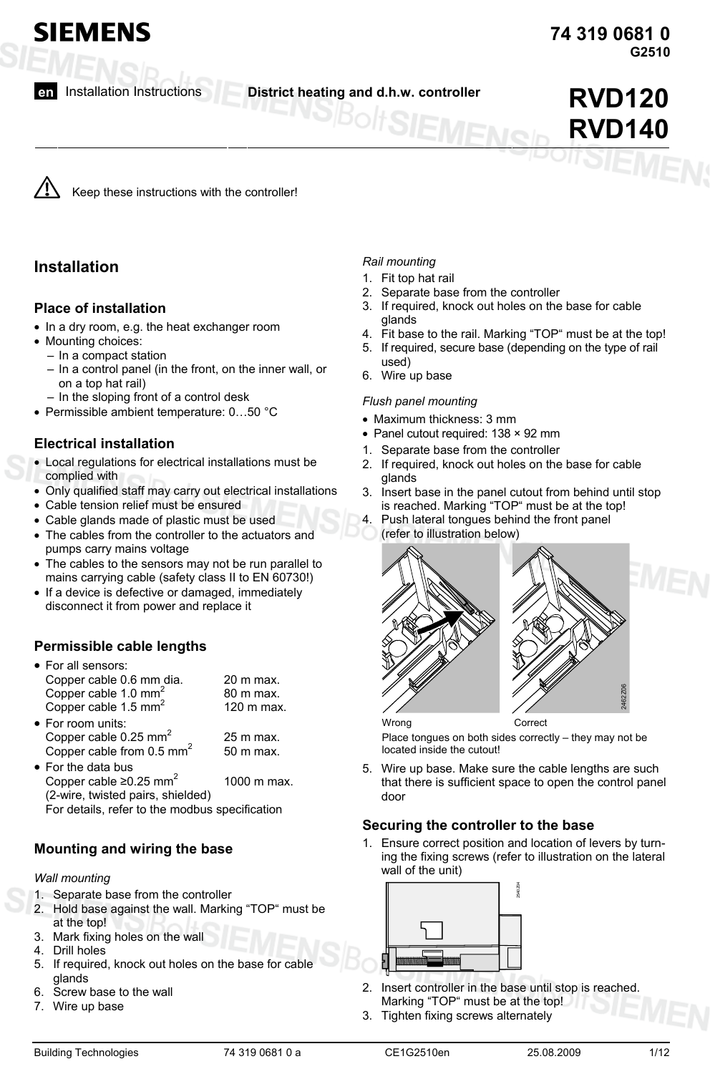**SIEMENS** 

**en** Installation Instructions **District heating and d.h.w. controller RVD120**

**RVD140**

Keep these instructions with the controller!

# **Installation**

### **Place of installation**

- In a dry room, e.g. the heat exchanger room
- Mounting choices:
	- In a compact station
	- In a control panel (in the front, on the inner wall, or on a top hat rail)
	- In the sloping front of a control desk
- Permissible ambient temperature: 0…50 °C

### **Electrical installation**

- Local regulations for electrical installations must be complied with
- Only qualified staff may carry out electrical installations
- Cable tension relief must be ensured
- Cable glands made of plastic must be used
- The cables from the controller to the actuators and pumps carry mains voltage
- The cables to the sensors may not be run parallel to mains carrying cable (safety class II to EN 60730!)
- If a device is defective or damaged, immediately disconnect it from power and replace it

### **Permissible cable lengths**

| • For all sensors:                                     |            |
|--------------------------------------------------------|------------|
| Copper cable 0.6 mm dia.                               | 20 m max.  |
| Copper cable 1.0 mm <sup>2</sup>                       | 80 m max.  |
| Copper cable 1.5 mm <sup>2</sup>                       | 120 m max. |
| • For room units:<br>Copper cable 0.25 mm <sup>2</sup> | 25 m max.  |

- Copper cable from  $0.5$  mm<sup>2</sup> 50 m max. • For the data bus Copper cable  $\geq 0.25$  mm<sup>2</sup> 1000 m max. (2-wire, twisted pairs, shielded)
	- For details, refer to the modbus specification

### **Mounting and wiring the base**

#### *Wall mounting*

- 1. Separate base from the controller
- 2. Hold base against the wall. Marking "TOP" must be at the top!
- 3. Mark fixing holes on the wall
- 4. Drill holes
- 5. If required, knock out holes on the base for cable glands
- 6. Screw base to the wall
- 7. Wire up base

### *Rail mounting*

- 1. Fit top hat rail
- 2. Separate base from the controller
- 3. If required, knock out holes on the base for cable glands
- 4. Fit base to the rail. Marking "TOP" must be at the top!
- 5. If required, secure base (depending on the type of rail
- used) 6. Wire up base

#### *Flush panel mounting*

- Maximum thickness: 3 mm
- Panel cutout required: 138 × 92 mm
- Separate base from the controller
- 2. If required, knock out holes on the base for cable glands
- 3. Insert base in the panel cutout from behind until stop is reached. Marking "TOP" must be at the top!
- 4. Push lateral tongues behind the front panel (refer to illustration below)



Place tongues on both sides correctly – they may not be located inside the cutout!

5. Wire up base. Make sure the cable lengths are such that there is sufficient space to open the control panel door

### **Securing the controller to the base**

1. Ensure correct position and location of levers by turning the fixing screws (refer to illustration on the lateral wall of the unit)



- 2. Insert controller in the base until stop is reached. Marking "TOP" must be at the top!
- 3. Tighten fixing screws alternately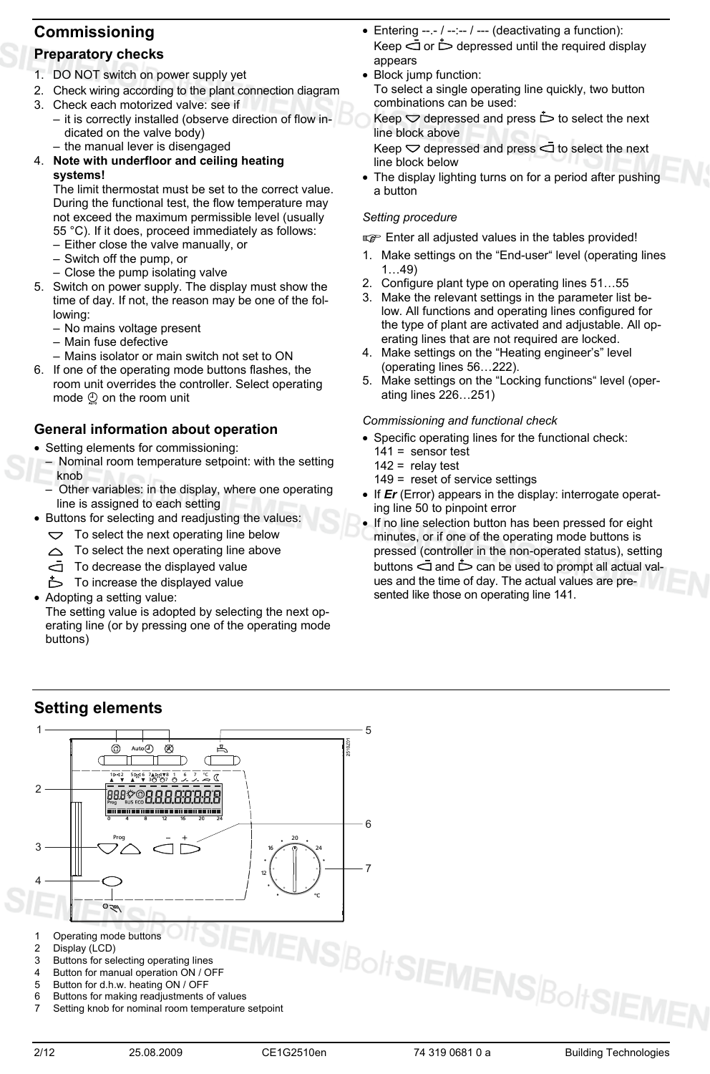# **Commissioning**

# **Preparatory checks**

- 1. DO NOT switch on power supply yet
- 2. Check wiring according to the plant connection diagram
- 3. Check each motorized valve: see if
	- it is correctly installed (observe direction of flow indicated on the valve body)
	- the manual lever is disengaged

#### 4. **Note with underfloor and ceiling heating systems!**

The limit thermostat must be set to the correct value. During the functional test, the flow temperature may not exceed the maximum permissible level (usually 55 °C). If it does, proceed immediately as follows:

- Either close the valve manually, or
- Switch off the pump, or
- Close the pump isolating valve
- 5. Switch on power supply. The display must show the time of day. If not, the reason may be one of the following:
	- No mains voltage present
	- Main fuse defective
	- Mains isolator or main switch not set to ON
- 6. If one of the operating mode buttons flashes, the room unit overrides the controller. Select operating mode  $\mathcal{Q}$  on the room unit

### **General information about operation**

- Setting elements for commissioning:
- Nominal room temperature setpoint: with the setting knob
- Other variables: in the display, where one operating line is assigned to each setting
- Buttons for selecting and readjusting the values:
	- $\triangleright$  To select the next operating line below
	- To select the next operating line above  $\triangle$
	- To decrease the displayed value
	- $\dot{\triangleright}$  To increase the displayed value
- Adopting a setting value:

The setting value is adopted by selecting the next operating line (or by pressing one of the operating mode buttons)

- Entering --.- / --:-- / --- (deactivating a function): Keep  $\bar{q}$  or  $\dot{\triangleright}$  depressed until the required display appears
- Block jump function: To select a single operating line quickly, two button combinations can be used:

Keep  $\heartsuit$  depressed and press  $\dot{\triangleright}$  to select the next line block above

Keep  $\heartsuit$  depressed and press  $\bar{\Box}$  to select the next line block below

The display lighting turns on for a period after pushing a button

#### *Setting procedure*

**Enter all adjusted values in the tables provided!** 

- 1. Make settings on the "End-user" level (operating lines 1…49)
- 2. Configure plant type on operating lines 51…55
- 3. Make the relevant settings in the parameter list below. All functions and operating lines configured for the type of plant are activated and adjustable. All operating lines that are not required are locked.
- 4. Make settings on the "Heating engineer's" level (operating lines 56…222).
- 5. Make settings on the "Locking functions" level (operating lines 226…251)

#### *Commissioning and functional check*

- Specific operating lines for the functional check:  $141 =$  sensor test
	- $142$  = relay test
	- 149 = reset of service settings
- If *Er* (Error) appears in the display: interrogate operating line 50 to pinpoint error
- If no line selection button has been pressed for eight minutes, or if one of the operating mode buttons is pressed (controller in the non-operated status), setting buttons  $\dot{\supset}$  and  $\dot{\supset}$  can be used to prompt all actual values and the time of day. The actual values are presented like those on operating line 141.

# **Setting elements**



7 Setting knob for nominal room temperature setpoint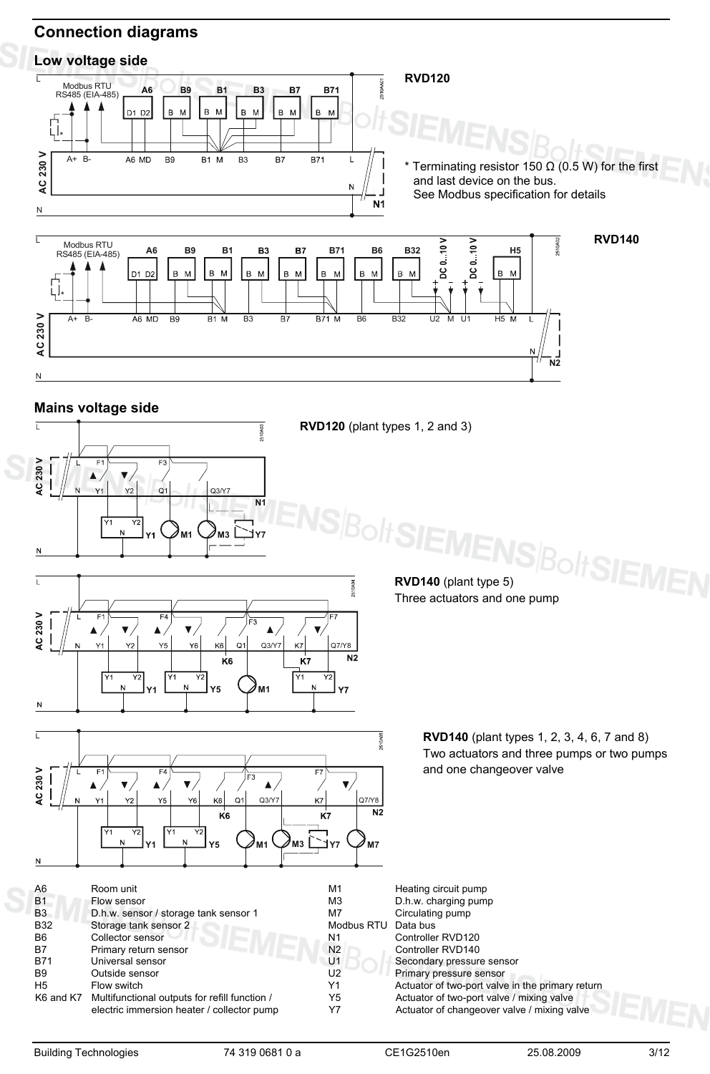# **Connection diagrams**

# **Low voltage side**



Y7 Actuator of changeover valve / mixing valve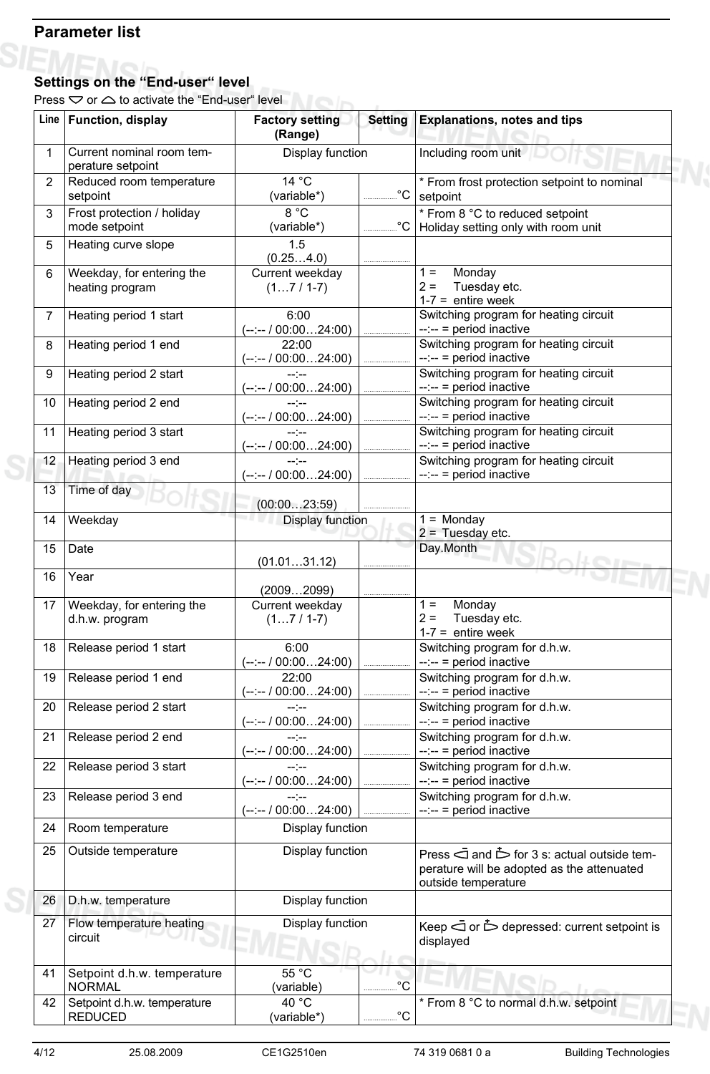# **Parameter list**

 $-11/1$ 

#### $I \cap I$ **Settings on the "End-user" level**

Press  $\heartsuit$  or  $\triangle$  to activate the "End-user" level

|                | Line   Function, display                       | <b>Factory setting</b><br>(Range)          | <b>Setting</b> | <b>Explanations, notes and tips</b>                                                                                             |
|----------------|------------------------------------------------|--------------------------------------------|----------------|---------------------------------------------------------------------------------------------------------------------------------|
| 1              | Current nominal room tem-<br>perature setpoint | Display function                           |                | Including room unit                                                                                                             |
| 2              | Reduced room temperature<br>setpoint           | 14 °C<br>(variable*)                       | $^{\circ}C$    | * From frost protection setpoint to nominal<br>setpoint                                                                         |
| 3              | Frost protection / holiday<br>mode setpoint    | 8 °C<br>(variable*)                        | $^{\circ}C$    | * From 8 °C to reduced setpoint<br>Holiday setting only with room unit                                                          |
| 5              | Heating curve slope                            | 1.5<br>(0.254.0)                           |                |                                                                                                                                 |
| 6              | Weekday, for entering the<br>heating program   | Current weekday<br>$(17/1-7)$              |                | Monday<br>$1 =$<br>Tuesday etc.<br>$2 =$<br>$1-7$ = entire week                                                                 |
| $\overline{7}$ | Heating period 1 start                         | 6:00<br>(--:-- / 00:0024:00)               |                | Switching program for heating circuit<br>$-:- =$ period inactive                                                                |
| 8              | Heating period 1 end                           | 22:00<br>(--:-- / 00:0024:00)              |                | Switching program for heating circuit<br>$-:- =$ period inactive                                                                |
| 9              | Heating period 2 start                         | $-1 - 1 - 1 = 0$<br>$(-:-/00:0024:00)$     |                | Switching program for heating circuit<br>$-:- =$ period inactive                                                                |
| 10             | Heating period 2 end                           | --:--<br>$(-:- 700:0024:00)$               |                | Switching program for heating circuit<br>$-:-$ = period inactive                                                                |
| 11             | Heating period 3 start                         | $-1 - 1 - 1 = -1$<br>$(-:- - 700:0024:00)$ |                | Switching program for heating circuit<br>$-:- =$ period inactive                                                                |
| 12             | Heating period 3 end                           | $-1 - 1 - 1$<br>$(-:-/00:0024:00)$         |                | Switching program for heating circuit<br>$-:-$ = period inactive                                                                |
| 13             | Time of day                                    | (00:0023:59)                               |                |                                                                                                                                 |
| 14             | Weekday                                        | Display function                           |                | $1 =$ Monday<br>$2 =$ Tuesday etc.                                                                                              |
| 15             | Date                                           | (01.0131.12)                               |                | Day.Month                                                                                                                       |
| 16             | Year                                           | (20092099)                                 |                |                                                                                                                                 |
| 17             | Weekday, for entering the<br>d.h.w. program    | Current weekday<br>$(17/1-7)$              |                | Monday<br>$1 =$<br>$2 =$<br>Tuesday etc.<br>$1-7$ = entire week                                                                 |
| 18             | Release period 1 start                         | 6:00<br>$(-:-/00:0024:00)$                 |                | Switching program for d.h.w.<br>--:-- = period inactive                                                                         |
| 19             | Release period 1 end                           | 22:00<br>$(-:-/00:0024:00)$                |                | Switching program for d.h.w.<br>$-:- =$ period inactive                                                                         |
|                | 20   Release period 2 start                    | --:--<br>(--:-- / 00:0024:00)              |                | Switching program for d.h.w.<br>$-:- =$ period inactive                                                                         |
| 21             | Release period 2 end                           | --'--<br>(--:-- / 00:0024:00)              |                | Switching program for d.h.w.<br>$-:-$ = period inactive                                                                         |
| 22             | Release period 3 start                         | --:--<br>$(-:-/00:0024:00)$                |                | Switching program for d.h.w.<br>$-:- =$ period inactive                                                                         |
| 23             | Release period 3 end                           | --:--<br>$(-:-/00:0024:00)$                |                | Switching program for d.h.w.<br>--:-- = period inactive                                                                         |
| 24             | Room temperature                               | Display function                           |                |                                                                                                                                 |
| 25             | Outside temperature                            | Display function                           |                | Press $\bar{a}$ and $\dot{b}$ for 3 s: actual outside tem-<br>perature will be adopted as the attenuated<br>outside temperature |
| 26             | D.h.w. temperature                             | Display function                           |                |                                                                                                                                 |
| 27             | Flow temperature heating<br>circuit            | Display function                           |                | Keep $\dot{\bigcirc}$ or $\dot{\bigcirc}$ depressed: current setpoint is<br>displayed                                           |
| 41             | Setpoint d.h.w. temperature<br><b>NORMAL</b>   | 55 °C<br>(variable)                        | $^{\circ}C$    |                                                                                                                                 |
| 42             | Setpoint d.h.w. temperature<br><b>REDUCED</b>  | 40 °C<br>(variable*)                       | $^{\circ}C$    | * From 8 °C to normal d.h.w. setpoint                                                                                           |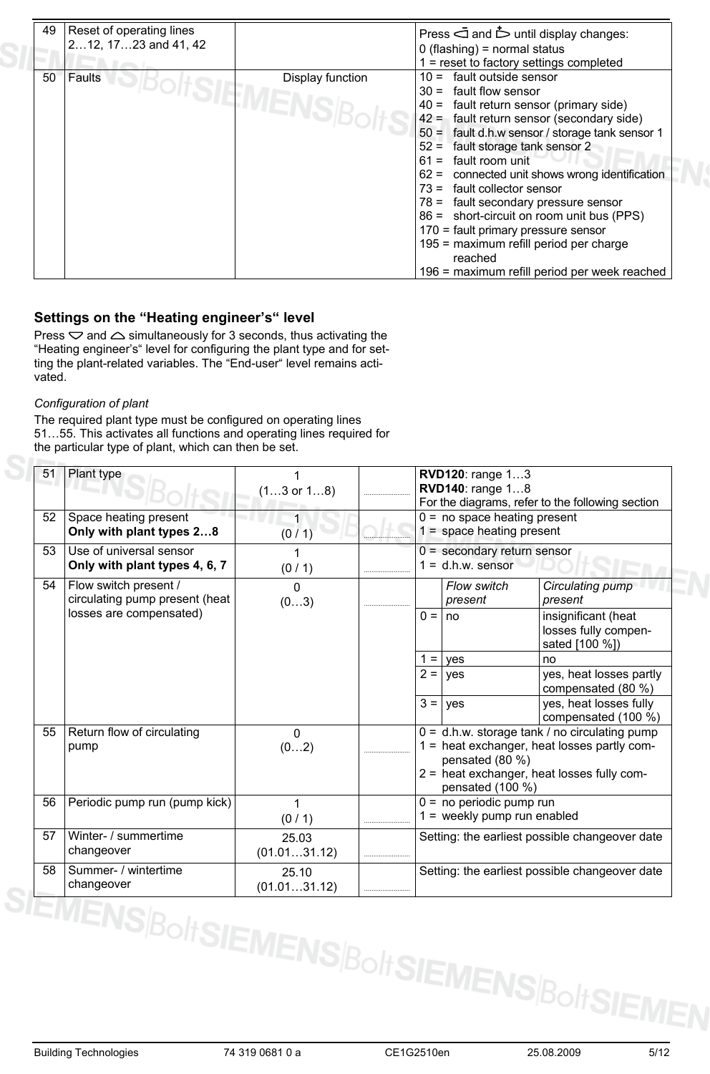| 49 | Reset of operating lines<br>212, 1723 and 41, 42 |                                        | Press $\bar{a}$ and $\bar{b}$ until display changes:<br>$0$ (flashing) = normal status<br>$1 =$ reset to factory settings completed                                                                                                                                                                                                                                                                                                                                                                                                                                                             |
|----|--------------------------------------------------|----------------------------------------|-------------------------------------------------------------------------------------------------------------------------------------------------------------------------------------------------------------------------------------------------------------------------------------------------------------------------------------------------------------------------------------------------------------------------------------------------------------------------------------------------------------------------------------------------------------------------------------------------|
| 50 | Faults                                           | Display function<br><b>ATSILMENSIB</b> | $10 =$ fault outside sensor<br>fault flow sensor<br>$30 =$<br>$40 =$ fault return sensor (primary side)<br>$42 =$ fault return sensor (secondary side)<br>50 = fault d.h.w sensor / storage tank sensor 1<br>$52 =$ fault storage tank sensor 2<br>$61 =$ fault room unit<br>$62 =$ connected unit shows wrong identification<br>$73$ = fault collector sensor<br>78 = fault secondary pressure sensor<br>86 = short-circuit on room unit bus (PPS)<br>170 = fault primary pressure sensor<br>195 = maximum refill period per charge<br>reached<br>196 = maximum refill period per week reached |

### **Settings on the "Heating engineer's" level**

Press  $\heartsuit$  and  $\triangle$  simultaneously for 3 seconds, thus activating the "Heating engineer's" level for configuring the plant type and for setting the plant-related variables. The "End-user" level remains activated.

#### *Configuration of plant*

The required plant type must be configured on operating lines 51…55. This activates all functions and operating lines required for the particular type of plant, which can then be set.

| 51<br>52<br>53 | Plant type<br>Space heating present<br>Only with plant types 28<br>Use of universal sensor<br>Only with plant types 4, 6, 7 | $(13 \text{ or } 18)$<br>(0/1)<br>(0/1) |         | <b>RVD120: range 13</b><br>RVD140: range 18<br>$0 = no$ space heating present<br>$1 =$ space heating present<br>$0 =$ secondary return sensor<br>$1 = d.h.w.$ sensor | For the diagrams, refer to the following section                                                                                           |
|----------------|-----------------------------------------------------------------------------------------------------------------------------|-----------------------------------------|---------|----------------------------------------------------------------------------------------------------------------------------------------------------------------------|--------------------------------------------------------------------------------------------------------------------------------------------|
| 54             | Flow switch present /<br>circulating pump present (heat                                                                     | 0<br>(03)                               |         | Flow switch<br>present                                                                                                                                               | Circulating pump<br>present                                                                                                                |
|                | losses are compensated)                                                                                                     |                                         | $0 = 1$ | no                                                                                                                                                                   | insignificant (heat<br>losses fully compen-<br>sated [100 %])                                                                              |
|                |                                                                                                                             |                                         | $1 =$   | yes                                                                                                                                                                  | no                                                                                                                                         |
|                |                                                                                                                             |                                         | $2 = 1$ | yes                                                                                                                                                                  | yes, heat losses partly<br>compensated (80 %)                                                                                              |
|                |                                                                                                                             |                                         | $3 = 1$ | ves                                                                                                                                                                  | yes, heat losses fully<br>compensated (100 %)                                                                                              |
| 55             | Return flow of circulating<br>pump                                                                                          | $\Omega$<br>(02)                        |         | pensated (80 %)<br>pensated (100 %)                                                                                                                                  | 0 = d.h.w. storage tank / no circulating pump<br>1 = heat exchanger, heat losses partly com-<br>2 = heat exchanger, heat losses fully com- |
| 56             | Periodic pump run (pump kick)                                                                                               | 1<br>(0/1)                              |         | $0 = no$ periodic pump run<br>$1 =$ weekly pump run enabled                                                                                                          |                                                                                                                                            |
| 57             | Winter- / summertime<br>changeover                                                                                          | 25.03<br>(01.0131.12)                   |         |                                                                                                                                                                      | Setting: the earliest possible changeover date                                                                                             |
| 58             | Summer- / wintertime<br>changeover                                                                                          | 25.10<br>(01.0131.12)                   |         |                                                                                                                                                                      | Setting: the earliest possible changeover date                                                                                             |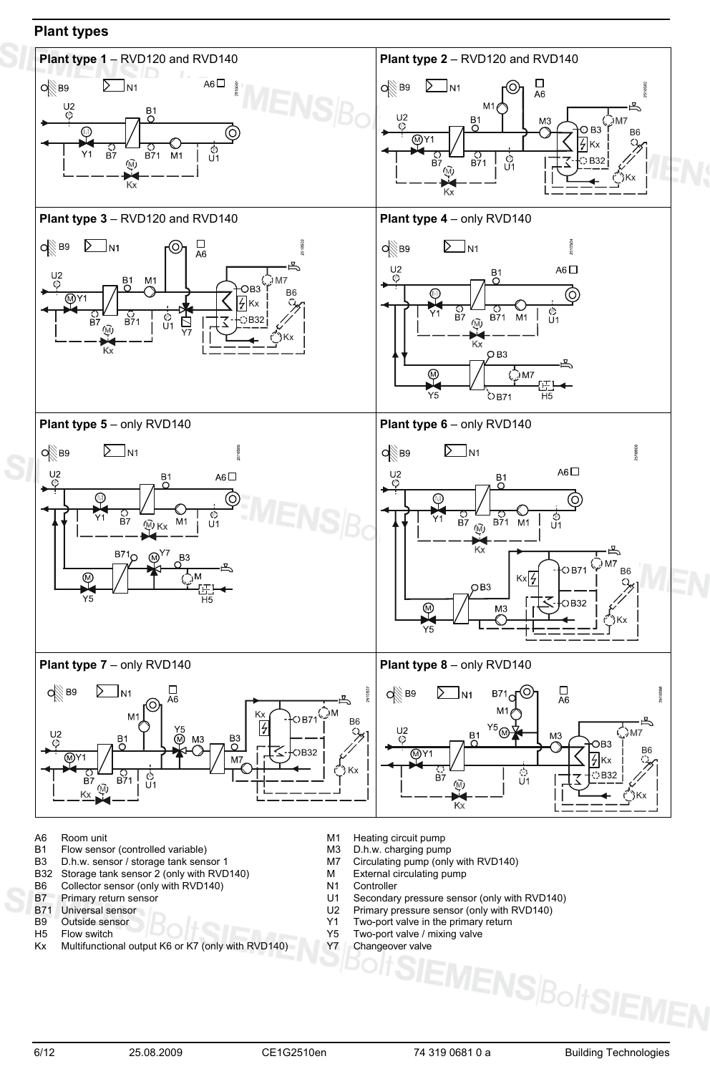### **Plant types**



- 
- A6 Room unit M1 Heating circuit pump<br>
B1 Flow sensor (controlled variable) M3 D.h.w. charging pump Flow sensor (controlled variable)
- B3 D.h.w. sensor / storage tank sensor 1 M7 Circulating pump (only with RVD140)<br>B32 Storage tank sensor 2 (only with RVD140) M External circulating pump
- Storage tank sensor 2 (only with RVD140)
- B6 Collector sensor (only with RVD140) N1 Controller<br>B7 Primary return sensor U1 Secondary
- 
- 
- 
- Kx Multifunctional output K6 or K7 (only with RVD140)
- 
- 
- 
- 
- 
- B7 Primary return sensor **EXECUTE:** U1 Secondary pressure sensor (only with RVD140)<br>B71 Universal sensor **EXECUTE:** U2 Primary pressure sensor (only with RVD140)
- B71 Universal sensor (and the U2 Primary pressure sensor (only with RVD140)<br>B9 Outside sensor (and the U2 Primary pressure sensor (only with RVD140)
- B9 Outside sensor BOOT TWO-port valve in the primary return<br>H5 Flow switch BOOT TWO-port valve / mixing valve
	- Y5 Two-port valve / mixing valve<br>Y7 Changeover valve

 $\mathsf{\Xi}$ MENS $\mathsf{B}_\mathsf{O}\mathsf{H}\mathsf{S}$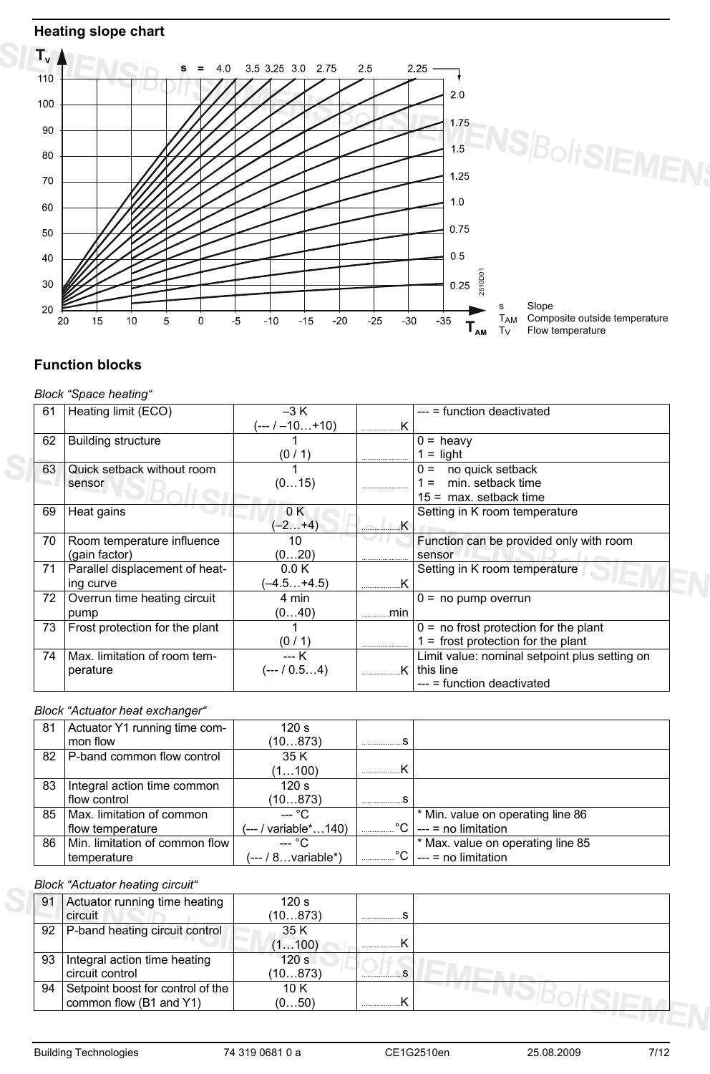## **Heating slope chart**



### **Function blocks**

#### *Block "Space heating"*

| 61 | Heating limit (ECO)            | $-3 K$           |            | $---$ = function deactivated                  |
|----|--------------------------------|------------------|------------|-----------------------------------------------|
|    |                                | $(-1 - 10 + 10)$ |            |                                               |
| 62 | <b>Building structure</b>      |                  |            | $0 =$ heavy                                   |
|    |                                | (0/1)            |            | $=$ light                                     |
| 63 | Quick setback without room     |                  |            | no quick setback<br>$0 =$                     |
|    | sensor                         | (015)            |            | min. setback time                             |
|    |                                |                  |            | $15 =$ max. setback time                      |
| 69 | Heat gains                     | 0 K              |            | Setting in K room temperature                 |
|    |                                | $(-2+4)$         | $\equiv$ K |                                               |
| 70 | Room temperature influence     | 10               |            | Function can be provided only with room       |
|    | (gain factor)                  | (020)            |            | sensor                                        |
| 71 | Parallel displacement of heat- | 0.0K             |            | Setting in K room temperature                 |
|    | ing curve                      | $(-4.5+4.5)$     |            |                                               |
| 72 | Overrun time heating circuit   | 4 min            |            | $0 = no$ pump overrun                         |
|    | pump                           | (040)            | min        |                                               |
| 73 | Frost protection for the plant |                  |            | $0 =$ no frost protection for the plant       |
|    |                                | (0/1)            |            | $=$ frost protection for the plant            |
| 74 | Max. limitation of room tem-   | --- K            |            | Limit value: nominal setpoint plus setting on |
|    | perature                       | $(-10.54)$       | ĸ          | this line                                     |
|    |                                |                  |            | $---$ = function deactivated                  |

### *Block "Actuator heat exchanger"*

| 81 | Actuator Y1 running time com-     | 120 s                |                                                                                                     |
|----|-----------------------------------|----------------------|-----------------------------------------------------------------------------------------------------|
|    | mon flow                          | (10873)              |                                                                                                     |
| 82 | <b>P-band common flow control</b> | 35 K                 |                                                                                                     |
|    |                                   | (1100)               |                                                                                                     |
| 83 | Integral action time common       | 120 s                |                                                                                                     |
|    | flow control                      | (10873)              |                                                                                                     |
| 85 | Max. limitation of common         | $-$ °C               | * Min. value on operating line 86                                                                   |
|    | flow temperature                  | (--- / variable*140) | $\text{}$ $\text{}$ $\text{}$ $\text{}$ $\text{}$ $\text{}$ $\text{}$ $\text{}$ $\text{}$ $\text{}$ |
| 86 | Min. limitation of common flow    | --- °C               | * Max. value on operating line 85                                                                   |
|    | temperature                       | (--- / 8variable*)   | $C$ $\sim$ 1 --- = no limitation                                                                    |

#### *Block "Actuator heating circuit"*

| 91 | Actuator running time heating<br><b>circuit</b> | 120 <sub>s</sub><br>(10873) |  |
|----|-------------------------------------------------|-----------------------------|--|
|    | 92   P-band heating circuit control             | 35 K                        |  |
|    |                                                 | (1100)                      |  |
| 93 | Integral action time heating                    | 120 <sub>s</sub>            |  |
|    | circuit control                                 | (10873)                     |  |
| 94 | Setpoint boost for control of the               | 10 K                        |  |
|    | common flow (B1 and Y1)                         | (050)                       |  |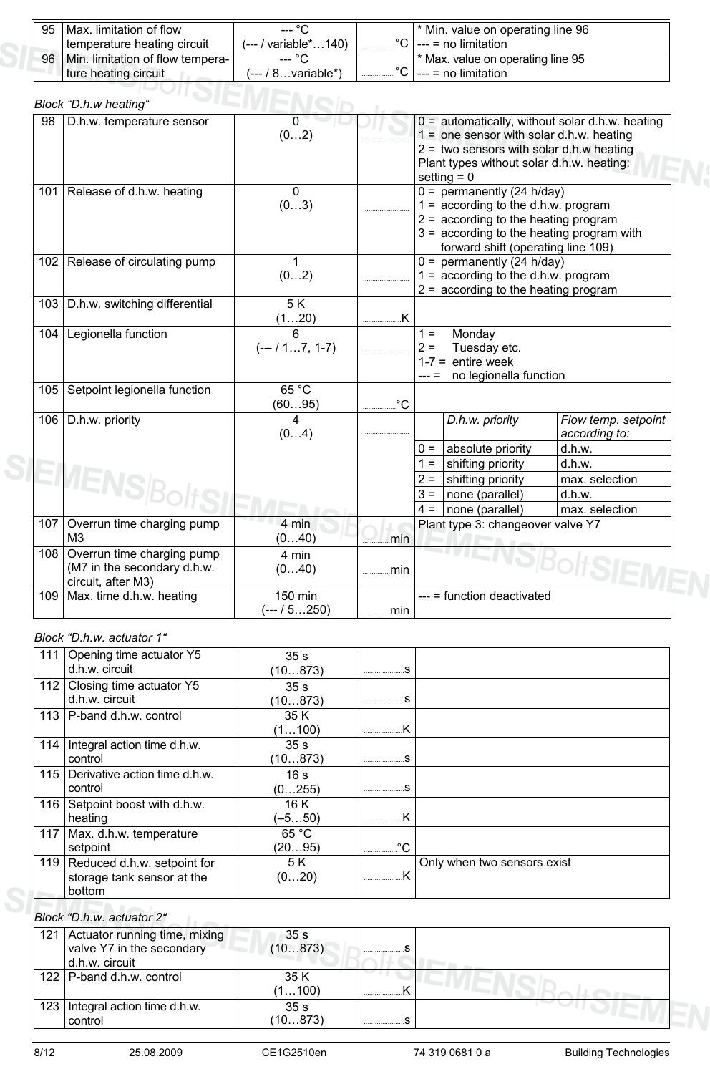| 95 | I Max. limitation of flow        | --- °C               | <sup>*</sup> Min. value on operating line 96 |
|----|----------------------------------|----------------------|----------------------------------------------|
|    | temperature heating circuit      | (--- / variable*140) | °C   --- = no limitation                     |
| 96 | Min. limitation of flow tempera- | $--- °C$             | <sup>*</sup> Max. value on operating line 95 |
|    | I ture heating circuit           | (--- / 8variable*)   | $\cdots$ = no limitation                     |
|    |                                  |                      |                                              |

|     | Block "D.h.w heating"                                                               |                          |      |                |                                                                                                                                                                                                      |                                                   |
|-----|-------------------------------------------------------------------------------------|--------------------------|------|----------------|------------------------------------------------------------------------------------------------------------------------------------------------------------------------------------------------------|---------------------------------------------------|
| 98  | D.h.w. temperature sensor                                                           | $\Omega$<br>(02)         |      |                | $1 =$ one sensor with solar d.h.w. heating<br>2 = two sensors with solar d.h.w heating<br>Plant types without solar d.h.w. heating:<br>setting $= 0$                                                 | $0 =$ automatically, without solar d.h.w. heating |
|     | 101 Release of d.h.w. heating                                                       | $\Omega$<br>(03)         |      |                | $0 =$ permanently (24 h/day)<br>$1 =$ according to the d.h.w. program<br>$2 =$ according to the heating program<br>$3 =$ according to the heating program with<br>forward shift (operating line 109) |                                                   |
|     | 102   Release of circulating pump                                                   | 1<br>(02)                |      |                | $0 =$ permanently (24 h/day)<br>$1 =$ according to the d.h.w. program<br>$2 =$ according to the heating program                                                                                      |                                                   |
|     | 103   D.h.w. switching differential                                                 | $\overline{5K}$<br>(120) |      |                |                                                                                                                                                                                                      |                                                   |
| 104 | Legionella function                                                                 | $(-1.7, 1.7)$            |      | $1 =$<br>$2 =$ | Monday<br>Tuesday etc.<br>$1-7$ = entire week<br>no legionella function                                                                                                                              |                                                   |
| 105 | Setpoint legionella function                                                        | 65 °C<br>(6095)          | °C   |                |                                                                                                                                                                                                      |                                                   |
| 106 | D.h.w. priority                                                                     | 4<br>(04)                |      |                | D.h.w. priority                                                                                                                                                                                      | Flow temp. setpoint<br>according to:              |
|     |                                                                                     |                          |      | $0 =$          | absolute priority                                                                                                                                                                                    | d.h.w.                                            |
|     |                                                                                     |                          |      | $1 =$          | shifting priority                                                                                                                                                                                    | d.h.w.                                            |
|     | <b>IENSI</b>                                                                        |                          |      | $2 =$          | shifting priority                                                                                                                                                                                    | max. selection                                    |
|     |                                                                                     |                          |      | $3 =$          | none (parallel)                                                                                                                                                                                      | d.h.w.                                            |
|     |                                                                                     |                          |      | $4 =$          | none (parallel)                                                                                                                                                                                      | max. selection                                    |
|     | 107 Overrun time charging pump<br>M <sub>3</sub>                                    | 4 min<br>(040)           | min  |                | Plant type 3: changeover valve Y7                                                                                                                                                                    |                                                   |
|     | 108 Overrun time charging pump<br>(M7 in the secondary d.h.w.<br>circuit, after M3) | 4 min<br>(040)           | min  |                |                                                                                                                                                                                                      |                                                   |
|     | 109 Max. time d.h.w. heating                                                        | 150 min<br>(--- / 5250)  | min. |                | --- = function deactivated                                                                                                                                                                           |                                                   |

### *Block "D.h.w. actuator 1"*

S

| 111 | Opening time actuator Y5        | 35 <sub>s</sub> |                   |                             |
|-----|---------------------------------|-----------------|-------------------|-----------------------------|
|     | d.h.w. circuit                  | (10873)         |                   |                             |
| 112 | Closing time actuator Y5        | 35 <sub>s</sub> |                   |                             |
|     | d.h.w. circuit                  | (10873)         |                   |                             |
|     | 113   P-band d.h.w. control     | 35 K            |                   |                             |
|     |                                 | (1100)          |                   |                             |
| 114 | Integral action time d.h.w.     | 35 <sub>s</sub> |                   |                             |
|     | control                         | (10873)         |                   |                             |
| 115 | Derivative action time d.h.w.   | 16 <sub>s</sub> |                   |                             |
|     | control                         | (0255)          |                   |                             |
| 116 | Setpoint boost with d.h.w.      | 16 K            |                   |                             |
|     | heating                         | (–5…50)         |                   |                             |
| 117 | Max. d.h.w. temperature         | 65 °C           |                   |                             |
|     | setpoint                        | (2095)          | $^{\circ}$ C<br>. |                             |
|     | 119 Reduced d.h.w. setpoint for | 5 K             |                   | Only when two sensors exist |
|     | storage tank sensor at the      | (020)           |                   |                             |
|     | bottom                          |                 |                   |                             |

### *Block "D.h.w. actuator 2"*

| 121 Actuator running time, mixing<br>valve Y7 in the secondary<br>d.h.w. circuit | 35 <sub>s</sub><br>(10873) |   |  |
|----------------------------------------------------------------------------------|----------------------------|---|--|
| 122 P-band d.h.w. control                                                        | 35 K<br>(1100)             | . |  |
| 123   Integral action time d.h.w.<br>control                                     | 35 <sub>s</sub><br>(10873) |   |  |

 $\mathbb{R}^2$  .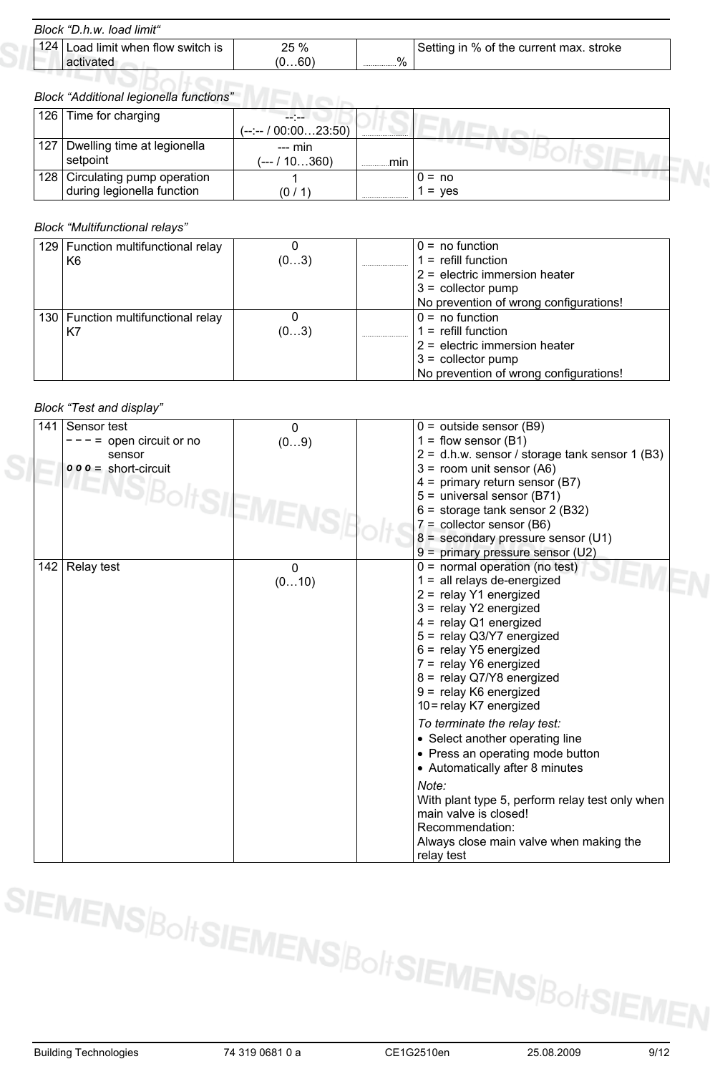#### *Block "D.h.w. load limit"*

| 124 Load limit when flow switch is<br>activated | 25 %<br>(0…60) | %<br> | Setting in % of the current max. stroke |
|-------------------------------------------------|----------------|-------|-----------------------------------------|
|                                                 |                |       |                                         |

# *Block "Additional legionella functions"*

| 126 Time for charging           |                      |     |            |
|---------------------------------|----------------------|-----|------------|
|                                 | (--:-- / 00:0023:50) |     |            |
| 127 Dwelling time at legionella | $--$ min             |     |            |
| setpoint                        | (--- / 10360)        | min |            |
| 128 Circulating pump operation  |                      |     | $0 = no$   |
| during legionella function      | (0 /                 |     | ves<br>$=$ |

#### *Block "Multifunctional relays"*

| 129 Function multifunctional relay<br>K6 | (03) | $0 = no$ function<br>$=$ refill function<br>$2$ = electric immersion heater<br>$3 =$ collector pump |
|------------------------------------------|------|-----------------------------------------------------------------------------------------------------|
|                                          |      | No prevention of wrong configurations!                                                              |
| 130 Function multifunctional relay       |      | $0 = no$ function                                                                                   |
| K7                                       | (03) | $=$ refill function                                                                                 |
|                                          |      | $2$ = electric immersion heater                                                                     |
|                                          |      | $3 =$ collector pump                                                                                |
|                                          |      | No prevention of wrong configurations!                                                              |

#### *Block "Test and display"*

| 141 | Sensor test            | $\Omega$ | $0 =$ outside sensor (B9)                        |
|-----|------------------------|----------|--------------------------------------------------|
|     | $=$ open circuit or no | (09)     | $1 =$ flow sensor (B1)                           |
|     | sensor                 |          | $2 = d.h.w.$ sensor / storage tank sensor 1 (B3) |
|     | $000 =$ short-circuit  |          | $3 =$ room unit sensor (A6)                      |
|     | <b>IENSIBC</b>         |          | $4 =$ primary return sensor (B7)                 |
|     | <b>OITSIEM</b>         |          | 5 = universal sensor (B71)                       |
|     |                        |          | $6 =$ storage tank sensor 2 (B32)                |
|     |                        |          | $7 =$ collector sensor (B6)                      |
|     |                        |          | $8 =$ secondary pressure sensor (U1)             |
|     |                        |          | 9 = primary pressure sensor (U2)                 |
| 142 | Relay test             | $\Omega$ | $0 =$ normal operation (no test)                 |
|     |                        | (010)    | $1 =$ all relays de-energized                    |
|     |                        |          | 2 = relay Y1 energized                           |
|     |                        |          | $3 =$ relay Y2 energized                         |
|     |                        |          | $4 =$ relay Q1 energized                         |
|     |                        |          | 5 = relay Q3/Y7 energized                        |
|     |                        |          | $6 =$ relay Y5 energized                         |
|     |                        |          | 7 = relay Y6 energized                           |
|     |                        |          | 8 = relay Q7/Y8 energized                        |
|     |                        |          | 9 = relay K6 energized                           |
|     |                        |          | 10 = relay K7 energized                          |
|     |                        |          | To terminate the relay test:                     |
|     |                        |          | • Select another operating line                  |
|     |                        |          | • Press an operating mode button                 |
|     |                        |          | • Automatically after 8 minutes                  |
|     |                        |          |                                                  |
|     |                        |          | Note:                                            |
|     |                        |          | With plant type 5, perform relay test only when  |
|     |                        |          | main valve is closed!                            |
|     |                        |          | Recommendation:                                  |
|     |                        |          | Always close main valve when making the          |
|     |                        |          | relay test                                       |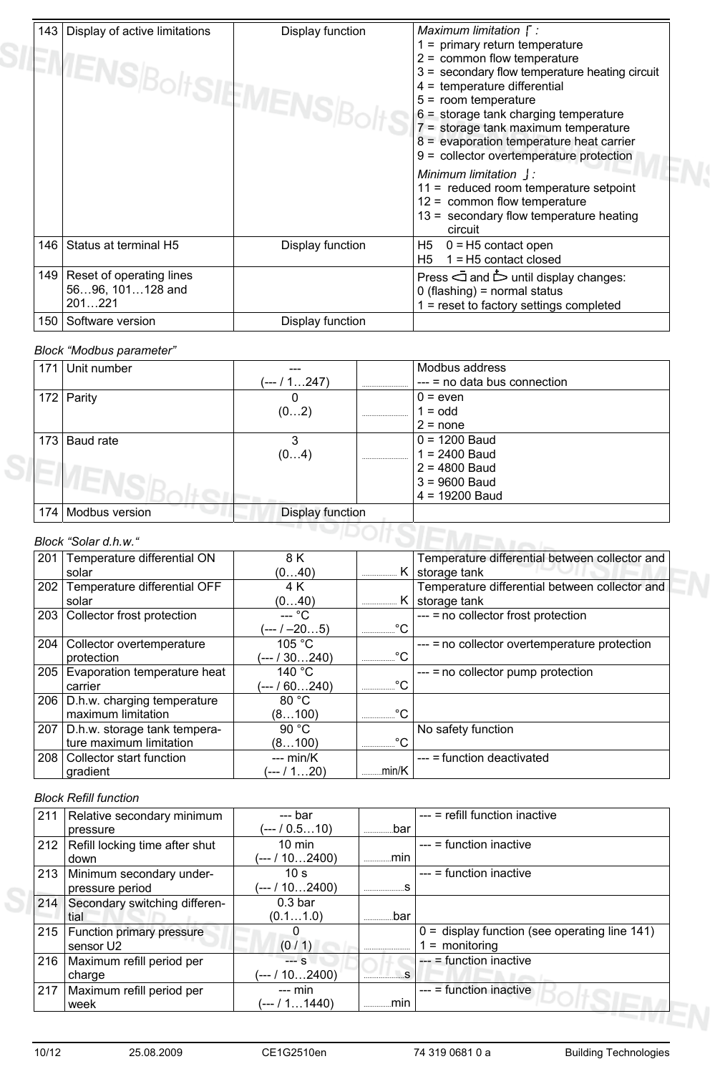| 143   Display of active limitations<br>EMENS BoltSIEMENS Bolt' | Display function | Maximum limitation $\Gamma$ :<br>$1 =$ primary return temperature<br>$2 =$ common flow temperature<br>$3 =$ secondary flow temperature heating circuit<br>$4 =$ temperature differential<br>$5 =$ room temperature<br>$6 =$ storage tank charging temperature<br>7 = storage tank maximum temperature<br>8 = evaporation temperature heat carrier<br>9 = collector overtemperature protection<br>Minimum limitation  :<br>11 = reduced room temperature setpoint<br>$12 =$ common flow temperature<br>13 = secondary flow temperature heating<br>circuit |
|----------------------------------------------------------------|------------------|----------------------------------------------------------------------------------------------------------------------------------------------------------------------------------------------------------------------------------------------------------------------------------------------------------------------------------------------------------------------------------------------------------------------------------------------------------------------------------------------------------------------------------------------------------|
| 146 Status at terminal H5                                      | Display function | H5<br>$0 = H5$ contact open<br>$1 = H5$ contact closed<br>H5                                                                                                                                                                                                                                                                                                                                                                                                                                                                                             |
| 149   Reset of operating lines<br>5696, 101128 and<br>201221   |                  | Press and $\dot{\triangleright}$ until display changes:<br>$0$ (flashing) = normal status<br>1 = reset to factory settings completed                                                                                                                                                                                                                                                                                                                                                                                                                     |
| 150 Software version                                           | Display function |                                                                                                                                                                                                                                                                                                                                                                                                                                                                                                                                                          |

### *Block "Modbus parameter"*

| 17' | Unit number    |                  | Modbus address                     |
|-----|----------------|------------------|------------------------------------|
|     |                | (--- / 1247)     | <br>$---$ = no data bus connection |
| 172 | Parity         | 0                | $0 = even$                         |
|     |                | (02)             | <br>$1 =$ odd                      |
|     |                |                  | $2 = none$                         |
| 173 | Baud rate      | 3                | $0 = 1200$ Baud                    |
|     |                | (04)             | <br>$1 = 2400$ Baud                |
|     |                |                  | $2 = 4800$ Baud                    |
|     |                |                  | $3 = 9600$ Baud                    |
|     |                |                  | $4 = 19200$ Baud                   |
| 174 | Modbus version | Display function |                                    |

#### *Block "Solar d.h.w."*

| 201 | Temperature differential ON        | 8 K              |             | Temperature differential between collector and |
|-----|------------------------------------|------------------|-------------|------------------------------------------------|
|     | solar                              | (040)            |             | K storage tank                                 |
| 202 | Temperature differential OFF       | 4 K              |             | Temperature differential between collector and |
|     | solar                              | (040)            | Κ<br>       | storage tank                                   |
|     | 203 Collector frost protection     | --- °C           |             | $---$ = no collector frost protection          |
|     |                                    | (--- / –205)     | °C          |                                                |
| 204 | Collector overtemperature          | 105 °C           |             | --- = no collector overtemperature protection  |
|     | protection                         | (--- / 30240)    | °€          |                                                |
| 205 | Evaporation temperature heat       | 140 $^{\circ}$ C |             | --- = no collector pump protection             |
|     | carrier                            | (--- / 60240)    | °C<br>.     |                                                |
|     | 206   D.h.w. charging temperature  | 80 °C            |             |                                                |
|     | maximum limitation                 | (8100)           | °C<br>      |                                                |
|     | 207   D.h.w. storage tank tempera- | 90 $°C$          |             | No safety function                             |
|     | ture maximum limitation            | (8100)           | $\circ$<br> |                                                |
|     | 208   Collector start function     | $-- min/K$       |             | --- = function deactivated                     |
|     | gradient                           | (--- / 120)      | .min/K      |                                                |

#### *Block Refill function*

| 211 | Relative secondary minimum     | --- bar            |      | --- = refill function inactive                  |
|-----|--------------------------------|--------------------|------|-------------------------------------------------|
|     | pressure                       | (--- / 0.510)      | .bar |                                                 |
| 212 | Refill locking time after shut | $10 \text{ min}$   |      | $---$ = function inactive                       |
|     | down                           | (--- / 102400)     | min. |                                                 |
| 213 | Minimum secondary under-       | 10 <sub>s</sub>    |      | $---$ = function inactive                       |
|     | pressure period                | (--- / 102400)     |      |                                                 |
| 214 | Secondary switching differen-  | 0.3 <sub>bar</sub> |      |                                                 |
|     | tial                           | (0.11.0)           | .bar |                                                 |
| 215 | Function primary pressure      |                    |      | $0 =$ display function (see operating line 141) |
|     | sensor U2                      | (0/1)              |      | $=$ monitoring                                  |
| 216 | Maximum refill period per      | $-$ S              |      | $--$ = function inactive                        |
|     | charge                         | (--- / 10…2400)    |      |                                                 |
| 217 | Maximum refill period per      | $---$ min          |      | $---$ = function inactive                       |
|     | week                           | (--- / 11440)      | mın  |                                                 |
|     |                                |                    |      |                                                 |

 $S$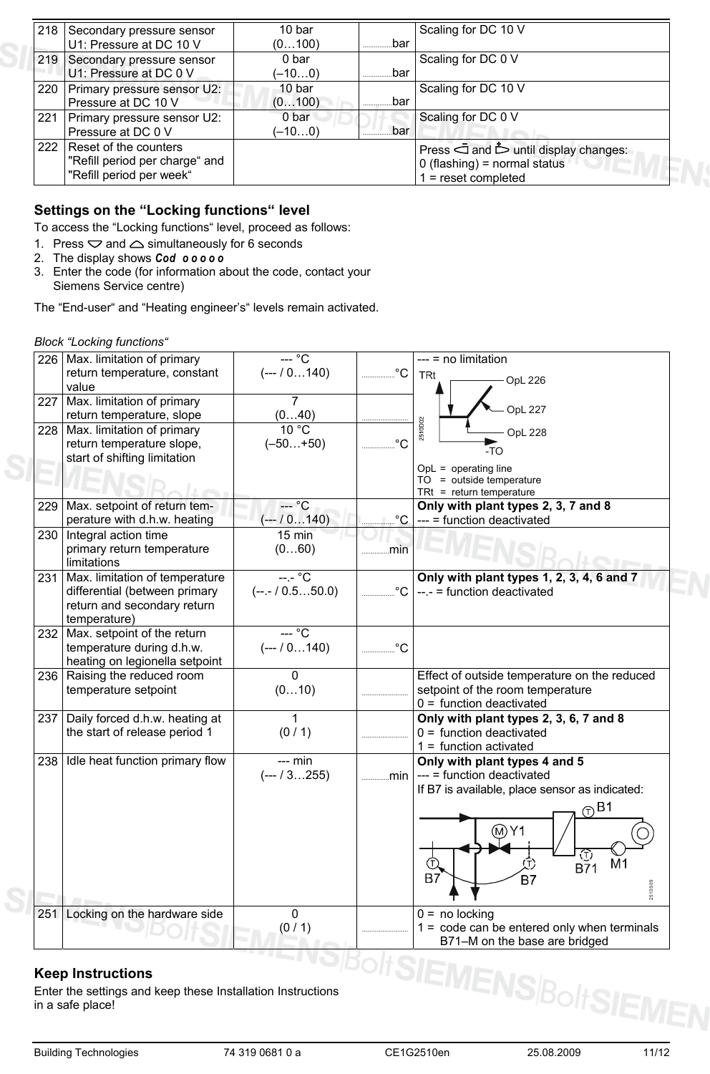| 218 Secondary pressure sensor<br>U1: Pressure at DC 10 V                                | 10 bar<br>(0100)            | .bar | Scaling for DC 10 V                                                                                               |
|-----------------------------------------------------------------------------------------|-----------------------------|------|-------------------------------------------------------------------------------------------------------------------|
| 219 Secondary pressure sensor<br>U1: Pressure at DC 0 V                                 | 0 bar<br>(–10…0)            | bar  | Scaling for DC 0 V                                                                                                |
| 220 Primary pressure sensor U2:<br>Pressure at DC 10 V                                  | 10 <sub>bar</sub><br>(0100) | .bar | Scaling for DC 10 V                                                                                               |
| 221 Primary pressure sensor U2:<br>Pressure at DC 0 V                                   | 0 bar<br>(–10…0)            | bar  | Scaling for DC 0 V                                                                                                |
| 222 Reset of the counters<br>"Refill period per charge" and<br>"Refill period per week" |                             |      | Press $\bar{\Box}$ and $\dot{\Box}$ until display changes:<br>$0$ (flashing) = normal status<br>= reset completed |

### **Settings on the "Locking functions" level**

To access the "Locking functions" level, proceed as follows:

- 1. Press  $\bigtriangledown$  and  $\bigtriangleup$  simultaneously for 6 seconds
- 2. The display shows *Cod o o o o o*
- 3. Enter the code (for information about the code, contact your Siemens Service centre)

The "End-user" and "Heating engineer's" levels remain activated.

#### *Block "Locking functions"*

|     | 226   Max. limitation of primary | $-\circ$ C      |              | $--$ = no limitation                                                 |
|-----|----------------------------------|-----------------|--------------|----------------------------------------------------------------------|
|     | return temperature, constant     | $(-10140)$      | $^{\circ}C$  | <b>TRt</b>                                                           |
|     | value                            |                 |              | <b>OpL 226</b>                                                       |
| 227 | Max. limitation of primary       | $\overline{7}$  |              |                                                                      |
|     | return temperature, slope        | (040)           |              | <b>OpL 227</b>                                                       |
| 228 | Max. limitation of primary       | $10^{\circ}$ C  |              | 2510D02<br><b>OpL 228</b>                                            |
|     | return temperature slope,        | $(-50+50)$      | $^{\circ}C$  | $-TO$                                                                |
|     | start of shifting limitation     |                 |              |                                                                      |
|     |                                  |                 |              | $OpL = operating line$<br>$TO = outside temperature$                 |
|     |                                  |                 |              | $TRt = return temperature$                                           |
| 229 | Max. setpoint of return tem-     | $--$ °C         |              | Only with plant types 2, 3, 7 and 8                                  |
|     | perature with d.h.w. heating     | $(-1/0.1140)$   | °C           | --- = function deactivated                                           |
| 230 | Integral action time             | 15 min          |              |                                                                      |
|     | primary return temperature       | (060)           | min          |                                                                      |
|     | limitations                      |                 |              |                                                                      |
| 231 | Max. limitation of temperature   | $---^{\circ}C$  |              | Only with plant types 1, 2, 3, 4, 6 and 7                            |
|     | differential (between primary    | $(-,-/0.550.0)$ | $^{\circ}$ C | $-- =$ function deactivated                                          |
|     | return and secondary return      |                 |              |                                                                      |
|     | temperature)                     |                 |              |                                                                      |
|     | 232 Max. setpoint of the return  | — °C            |              |                                                                      |
|     | temperature during d.h.w.        | $(-10140)$      | $^{\circ}C$  |                                                                      |
|     | heating on legionella setpoint   |                 |              |                                                                      |
| 236 | Raising the reduced room         | $\mathbf 0$     |              | Effect of outside temperature on the reduced                         |
|     | temperature setpoint             | (010)           |              | setpoint of the room temperature                                     |
| 237 | Daily forced d.h.w. heating at   | 1               |              | $0 =$ function deactivated<br>Only with plant types 2, 3, 6, 7 and 8 |
|     | the start of release period 1    | (0/1)           |              | $0 =$ function deactivated                                           |
|     |                                  |                 |              | $1 =$ function activated                                             |
| 238 | Idle heat function primary flow  | $-- min$        |              | Only with plant types 4 and 5                                        |
|     |                                  | $(--13255)$     | min          | --- = function deactivated                                           |
|     |                                  |                 |              | If B7 is available, place sensor as indicated:                       |
|     |                                  |                 |              |                                                                      |
|     |                                  |                 |              | $\odot$ B1                                                           |
|     |                                  |                 |              | (M∑Y1                                                                |
|     |                                  |                 |              |                                                                      |
|     |                                  |                 |              | Œ<br>Œ<br>M <sub>1</sub><br>(Т)                                      |
|     |                                  |                 |              | $B\bar{7}1$<br>B7<br>B7                                              |
|     |                                  |                 |              | 2510509                                                              |
|     |                                  |                 |              |                                                                      |
| 251 | Locking on the hardware side     | $\Omega$        |              | $0 = no$ locking                                                     |
|     |                                  | (0/1)           |              | $1 = \text{code can be entered only when terminals}$                 |
|     |                                  |                 |              | B71-M on the base are bridged                                        |

### **Keep Instructions**

Enter the settings and keep these Installation Instructions in a safe place!